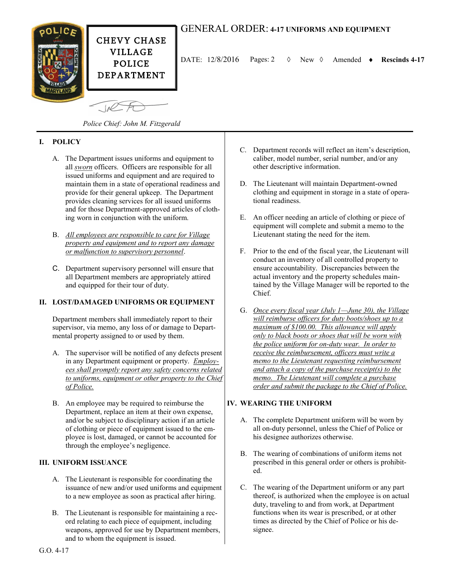

 $\sqrt{10}$ 

DATE:  $12/8/2016$  Pages: 2  $\diamond$  New  $\diamond$  Amended  $\bullet$  Rescinds 4-17

*Police Chief: John M. Fitzgerald*

# **I. POLICY**

- A. The Department issues uniforms and equipment to all *sworn* officers. Officers are responsible for all issued uniforms and equipment and are required to maintain them in a state of operational readiness and provide for their general upkeep. The Department provides cleaning services for all issued uniforms and for those Department-approved articles of clothing worn in conjunction with the uniform.
- B. *All employees are responsible to care for Village property and equipment and to report any damage or malfunction to supervisory personnel*.
- C. Department supervisory personnel will ensure that all Department members are appropriately attired and equipped for their tour of duty.

# **II. LOST/DAMAGED UNIFORMS OR EQUIPMENT**

Department members shall immediately report to their supervisor, via memo, any loss of or damage to Departmental property assigned to or used by them.

- A. The supervisor will be notified of any defects present in any Department equipment or property. *Employees shall promptly report any safety concerns related to uniforms, equipment or other property to the Chief of Police.*
- B. An employee may be required to reimburse the Department, replace an item at their own expense, and/or be subject to disciplinary action if an article of clothing or piece of equipment issued to the employee is lost, damaged, or cannot be accounted for through the employee's negligence.

#### **III. UNIFORM ISSUANCE**

- A. The Lieutenant is responsible for coordinating the issuance of new and/or used uniforms and equipment to a new employee as soon as practical after hiring.
- B. The Lieutenant is responsible for maintaining a record relating to each piece of equipment, including weapons, approved for use by Department members, and to whom the equipment is issued.
- C. Department records will reflect an item's description, caliber, model number, serial number, and/or any other descriptive information.
- D. The Lieutenant will maintain Department-owned clothing and equipment in storage in a state of operational readiness.
- E. An officer needing an article of clothing or piece of equipment will complete and submit a memo to the Lieutenant stating the need for the item.
- F. Prior to the end of the fiscal year, the Lieutenant will conduct an inventory of all controlled property to ensure accountability. Discrepancies between the actual inventory and the property schedules maintained by the Village Manager will be reported to the Chief.
- G. *Once every fiscal year (July 1—June 30), the Village will reimburse officers for duty boots/shoes up to a maximum of \$100.00. This allowance will apply only to black boots or shoes that will be worn with the police uniform for on-duty wear. In order to receive the reimbursement, officers must write a memo to the Lieutenant requesting reimbursement and attach a copy of the purchase receipt(s) to the memo. The Lieutenant will complete a purchase order and submit the package to the Chief of Police.*

#### **IV. WEARING THE UNIFORM**

- A. The complete Department uniform will be worn by all on-duty personnel, unless the Chief of Police or his designee authorizes otherwise.
- B. The wearing of combinations of uniform items not prescribed in this general order or others is prohibited.
- C. The wearing of the Department uniform or any part thereof, is authorized when the employee is on actual duty, traveling to and from work, at Department functions when its wear is prescribed, or at other times as directed by the Chief of Police or his designee.